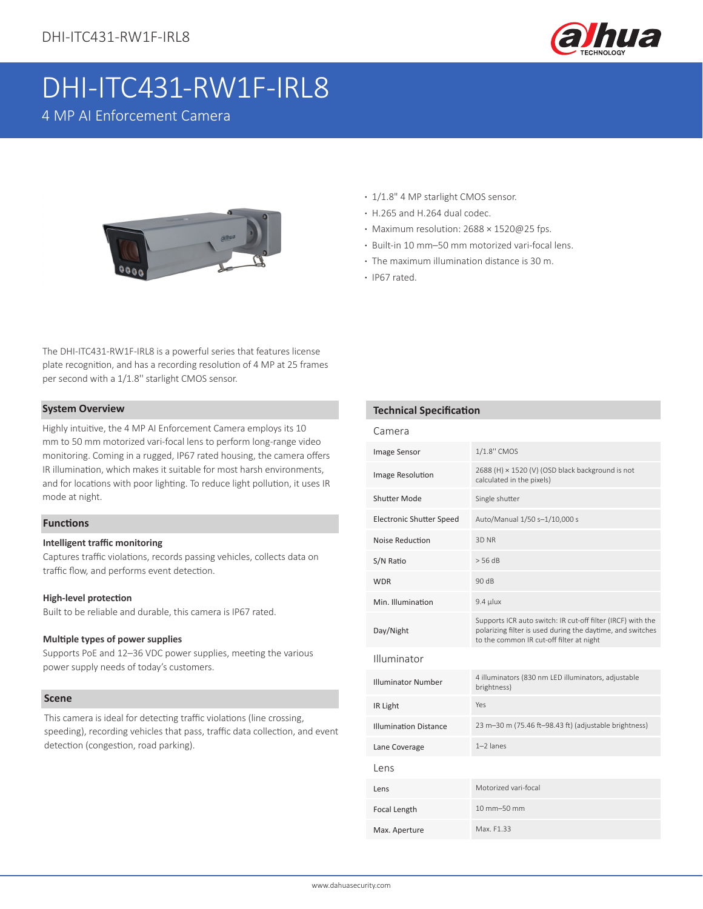

# DHI-ITC431-RW1F-IRL8

4 MP AI Enforcement Camera



The DHI-ITC431-RW1F-IRL8 is a powerful series that features license plate recognition, and has a recording resolution of 4 MP at 25 frames per second with a 1/1.8'' starlight CMOS sensor.

#### **System Overview**

Highly intuitive, the 4 MP AI Enforcement Camera employs its 10 mm to 50 mm motorized vari-focal lens to perform long-range video monitoring. Coming in a rugged, IP67 rated housing, the camera offers IR illumination, which makes it suitable for most harsh environments, and for locations with poor lighting. To reduce light pollution, it uses IR mode at night.

### **Functions**

#### **Intelligent traffic monitoring**

Captures traffic violations, records passing vehicles, collects data on traffic flow, and performs event detection.

#### **High-level protection**

Built to be reliable and durable, this camera is IP67 rated.

#### **Multiple types of power supplies**

Supports PoE and 12–36 VDC power supplies, meeting the various power supply needs of today's customers.

#### **Scene**

This camera is ideal for detecting traffic violations (line crossing, speeding), recording vehicles that pass, traffic data collection, and event detection (congestion, road parking).

- **·** 1/1.8" 4 MP starlight CMOS sensor.
- **·** H.265 and H.264 dual codec.
- **·** Maximum resolution: 2688 × 1520@25 fps.
- **·** Built-in 10 mm–50 mm motorized vari-focal lens.
- **·** The maximum illumination distance is 30 m.
- **·** IP67 rated.

### **Technical Specification**

| Camera                          |                                                                                                                                                                       |  |
|---------------------------------|-----------------------------------------------------------------------------------------------------------------------------------------------------------------------|--|
| <b>Image Sensor</b>             | 1/1.8" CMOS                                                                                                                                                           |  |
| Image Resolution                | 2688 (H) × 1520 (V) (OSD black background is not<br>calculated in the pixels)                                                                                         |  |
| Shutter Mode                    | Single shutter                                                                                                                                                        |  |
| <b>Electronic Shutter Speed</b> | Auto/Manual 1/50 s-1/10,000 s                                                                                                                                         |  |
| Noise Reduction                 | 3D NR                                                                                                                                                                 |  |
| S/N Ratio                       | $>$ 56 dB                                                                                                                                                             |  |
| <b>WDR</b>                      | 90 dB                                                                                                                                                                 |  |
| Min. Illumination               | $9.4$ µlux                                                                                                                                                            |  |
| Day/Night                       | Supports ICR auto switch: IR cut-off filter (IRCF) with the<br>polarizing filter is used during the daytime, and switches<br>to the common IR cut-off filter at night |  |
| Illuminator                     |                                                                                                                                                                       |  |
| <b>Illuminator Number</b>       | 4 illuminators (830 nm LED illuminators, adjustable<br>brightness)                                                                                                    |  |
| IR Light                        | Yes                                                                                                                                                                   |  |
| <b>Illumination Distance</b>    | 23 m-30 m (75.46 ft-98.43 ft) (adjustable brightness)                                                                                                                 |  |
| Lane Coverage                   | $1-2$ lanes                                                                                                                                                           |  |
| Lens                            |                                                                                                                                                                       |  |
| Lens                            | Motorized vari-focal                                                                                                                                                  |  |
| Focal Length                    | 10 mm-50 mm                                                                                                                                                           |  |
| Max. Aperture                   | Max. F1.33                                                                                                                                                            |  |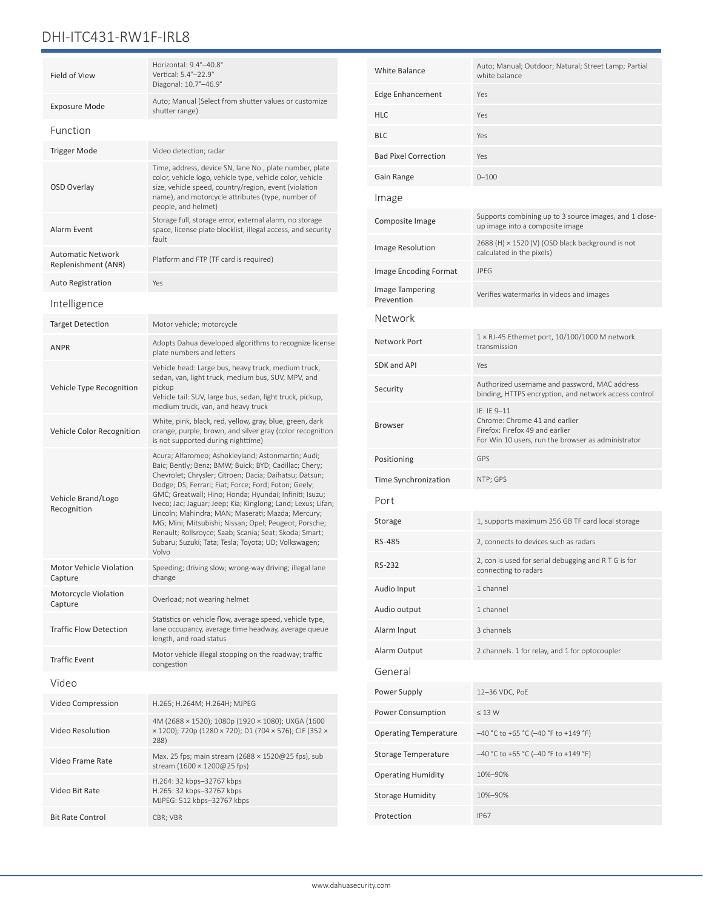# DHI-ITC431-RW1F-IRL8

| Field of View                                   | Horizontal: 9.4°-40.8°<br>Vertical: 5.4°-22.9°<br>Diagonal: 10.7°-46.9°                                                                                                                                                                                                                                                                                                                                                                                                                                                                                                                          |  |
|-------------------------------------------------|--------------------------------------------------------------------------------------------------------------------------------------------------------------------------------------------------------------------------------------------------------------------------------------------------------------------------------------------------------------------------------------------------------------------------------------------------------------------------------------------------------------------------------------------------------------------------------------------------|--|
| Exposure Mode                                   | Auto; Manual (Select from shutter values or customize<br>shutter range)                                                                                                                                                                                                                                                                                                                                                                                                                                                                                                                          |  |
| Function                                        |                                                                                                                                                                                                                                                                                                                                                                                                                                                                                                                                                                                                  |  |
| <b>Trigger Mode</b>                             | Video detection; radar                                                                                                                                                                                                                                                                                                                                                                                                                                                                                                                                                                           |  |
| <b>OSD Overlay</b>                              | Time, address, device SN, lane No., plate number, plate<br>color, vehicle logo, vehicle type, vehicle color, vehicle<br>size, vehicle speed, country/region, event (violation<br>name), and motorcycle attributes (type, number of<br>people, and helmet)                                                                                                                                                                                                                                                                                                                                        |  |
| Alarm Event                                     | Storage full, storage error, external alarm, no storage<br>space, license plate blocklist, illegal access, and security<br>fault                                                                                                                                                                                                                                                                                                                                                                                                                                                                 |  |
| <b>Automatic Network</b><br>Replenishment (ANR) | Platform and FTP (TF card is required)                                                                                                                                                                                                                                                                                                                                                                                                                                                                                                                                                           |  |
| <b>Auto Registration</b>                        | Yes                                                                                                                                                                                                                                                                                                                                                                                                                                                                                                                                                                                              |  |
| Intelligence                                    |                                                                                                                                                                                                                                                                                                                                                                                                                                                                                                                                                                                                  |  |
| <b>Target Detection</b>                         | Motor vehicle; motorcycle                                                                                                                                                                                                                                                                                                                                                                                                                                                                                                                                                                        |  |
| <b>ANPR</b>                                     | Adopts Dahua developed algorithms to recognize license<br>plate numbers and letters                                                                                                                                                                                                                                                                                                                                                                                                                                                                                                              |  |
| Vehicle Type Recognition                        | Vehicle head: Large bus, heavy truck, medium truck,<br>sedan, van, light truck, medium bus, SUV, MPV, and<br>pickup<br>Vehicle tail: SUV, large bus, sedan, light truck, pickup,<br>medium truck, van, and heavy truck                                                                                                                                                                                                                                                                                                                                                                           |  |
| Vehicle Color Recognition                       | White, pink, black, red, yellow, gray, blue, green, dark<br>orange, purple, brown, and silver gray (color recognition<br>is not supported during nighttime)                                                                                                                                                                                                                                                                                                                                                                                                                                      |  |
| Vehicle Brand/Logo<br>Recognition               | Acura; Alfaromeo; Ashokleyland; Astonmartin; Audi;<br>Baic; Bently; Benz; BMW; Buick; BYD; Cadillac; Chery;<br>Chevrolet; Chrysler; Citroen; Dacia; Daihatsu; Datsun;<br>Dodge; DS; Ferrari; Fiat; Force; Ford; Foton; Geely;<br>GMC; Greatwall; Hino; Honda; Hyundai; Infiniti; Isuzu;<br>Iveco; Jac; Jaguar; Jeep; Kia; Kinglong; Land; Lexus; Lifan;<br>Lincoln; Mahindra; MAN; Maserati; Mazda; Mercury;<br>MG; Mini; Mitsubishi; Nissan; Opel; Peugeot; Porsche;<br>Renault; Rollsroyce; Saab; Scania; Seat; Skoda; Smart;<br>Subaru; Suzuki; Tata; Tesla; Toyota; UD; Volkswagen;<br>Volvo |  |
| Motor Vehicle Violation<br>Capture              | Speeding; driving slow; wrong-way driving; illegal lane<br>change                                                                                                                                                                                                                                                                                                                                                                                                                                                                                                                                |  |
| Motorcycle Violation<br>Capture                 | Overload; not wearing helmet                                                                                                                                                                                                                                                                                                                                                                                                                                                                                                                                                                     |  |
| <b>Traffic Flow Detection</b>                   | Statistics on vehicle flow, average speed, vehicle type,<br>lane occupancy, average time headway, average queue<br>length, and road status                                                                                                                                                                                                                                                                                                                                                                                                                                                       |  |
| <b>Traffic Event</b>                            | Motor vehicle illegal stopping on the roadway; traffic<br>congestion                                                                                                                                                                                                                                                                                                                                                                                                                                                                                                                             |  |
| Video                                           |                                                                                                                                                                                                                                                                                                                                                                                                                                                                                                                                                                                                  |  |
| Video Compression                               | H.265; H.264M; H.264H; MJPEG                                                                                                                                                                                                                                                                                                                                                                                                                                                                                                                                                                     |  |
| Video Resolution                                | 4M (2688 × 1520); 1080p (1920 × 1080); UXGA (1600<br>x 1200); 720p (1280 x 720); D1 (704 x 576); CIF (352 x<br>288)                                                                                                                                                                                                                                                                                                                                                                                                                                                                              |  |
| Video Frame Rate                                | Max. 25 fps; main stream (2688 × 1520@25 fps), sub<br>stream (1600 × 1200@25 fps)                                                                                                                                                                                                                                                                                                                                                                                                                                                                                                                |  |
| Video Bit Rate                                  | H.264: 32 kbps-32767 kbps<br>H.265: 32 kbps-32767 kbps<br>MJPEG: 512 kbps-32767 kbps                                                                                                                                                                                                                                                                                                                                                                                                                                                                                                             |  |
| <b>Bit Rate Control</b>                         | CBR; VBR                                                                                                                                                                                                                                                                                                                                                                                                                                                                                                                                                                                         |  |

| <b>White Balance</b>                 | Auto; Manual; Outdoor; Natural; Street Lamp; Partial<br>white balance                                                                 |  |
|--------------------------------------|---------------------------------------------------------------------------------------------------------------------------------------|--|
| <b>Edge Enhancement</b>              | Yes                                                                                                                                   |  |
| <b>HLC</b>                           | Yes                                                                                                                                   |  |
| <b>BLC</b>                           | Yes                                                                                                                                   |  |
| <b>Bad Pixel Correction</b>          | Yes                                                                                                                                   |  |
| Gain Range                           | $0 - 100$                                                                                                                             |  |
| Image                                |                                                                                                                                       |  |
| Composite Image                      | Supports combining up to 3 source images, and 1 close-<br>up image into a composite image                                             |  |
| <b>Image Resolution</b>              | 2688 (H) × 1520 (V) (OSD black background is not<br>calculated in the pixels)                                                         |  |
| Image Encoding Format                | <b>JPEG</b>                                                                                                                           |  |
| <b>Image Tampering</b><br>Prevention | Verifies watermarks in videos and images                                                                                              |  |
| Network                              |                                                                                                                                       |  |
| Network Port                         | 1 × RJ-45 Ethernet port, 10/100/1000 M network<br>transmission                                                                        |  |
| SDK and API                          | Yes                                                                                                                                   |  |
| Security                             | Authorized username and password, MAC address<br>binding, HTTPS encryption, and network access control                                |  |
| <b>Browser</b>                       | IE: IE 9-11<br>Chrome: Chrome 41 and earlier<br>Firefox: Firefox 49 and earlier<br>For Win 10 users, run the browser as administrator |  |
| Positioning                          | GPS                                                                                                                                   |  |
| Time Synchronization                 | NTP; GPS                                                                                                                              |  |
| Port                                 |                                                                                                                                       |  |
| Storage                              | 1, supports maximum 256 GB TF card local storage                                                                                      |  |
| <b>RS-485</b>                        | 2, connects to devices such as radars                                                                                                 |  |
| RS-232                               | 2, con is used for serial debugging and RTG is for<br>connecting to radars                                                            |  |
| Audio Input                          | 1 channel                                                                                                                             |  |
| Audio output                         | 1 channel                                                                                                                             |  |
| Alarm Input                          | 3 channels                                                                                                                            |  |
| Alarm Output                         | 2 channels. 1 for relay, and 1 for optocoupler                                                                                        |  |
| General                              |                                                                                                                                       |  |
| Power Supply                         | 12-36 VDC, PoE                                                                                                                        |  |
| Power Consumption                    | $\leq$ 13 W                                                                                                                           |  |
| <b>Operating Temperature</b>         | -40 °C to +65 °C (-40 °F to +149 °F)                                                                                                  |  |
| Storage Temperature                  | -40 °C to +65 °C (-40 °F to +149 °F)                                                                                                  |  |
| <b>Operating Humidity</b>            | 10%-90%                                                                                                                               |  |
| <b>Storage Humidity</b>              | 10%-90%                                                                                                                               |  |
| Protection                           | <b>IP67</b>                                                                                                                           |  |